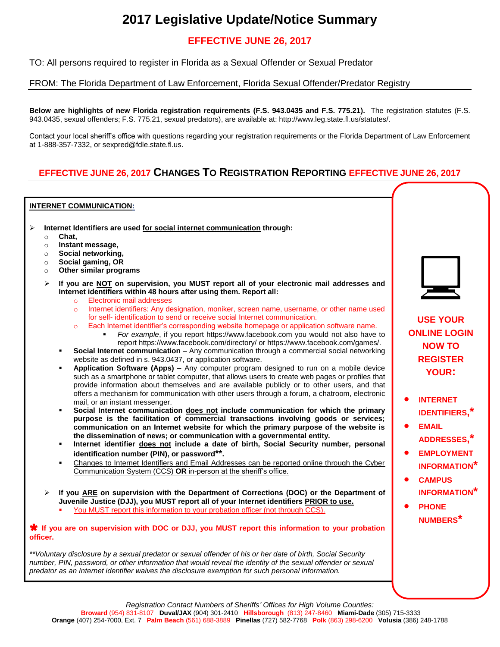# **2017 Legislative Update/Notice Summary**

## **EFFECTIVE JUNE 26, 2017**

TO: All persons required to register in Florida as a Sexual Offender or Sexual Predator

### FROM: The Florida Department of Law Enforcement, Florida Sexual Offender/Predator Registry

**Below are highlights of new Florida registration requirements (F.S. 943.0435 and F.S. 775.21).** The registration statutes (F.S. 943.0435, sexual offenders; F.S. 775.21, sexual predators), are available at: http://www.leg.state.fl.us/statutes/.

Contact your local sheriff's office with questions regarding your registration requirements or the Florida Department of Law Enforcement at 1-888-357-7332, or sexpred@fdle.state.fl.us.

## **EFFECTIVE JUNE 26, 2017 CHANGES TO REGISTRATION REPORTING EFFECTIVE JUNE 26, 2017**

#### **INTERNET COMMUNICATION:**

- **Internet Identifiers are used for social internet communication through:**
	- o **Chat,**
	- o **Instant message,**
	- o **Social networking,**
	- o **Social gaming, OR**
	- o **Other similar programs**
	- **If you are NOT on supervision, you MUST report all of your electronic mail addresses and Internet identifiers within 48 hours after using them. Report all:**
		- o Electronic mail addresses
		- o Internet identifiers: Any designation, moniker, screen name, username, or other name used for self- identification to send or receive social Internet communication.
		- o Each Internet identifier's corresponding website homepage or application software name.
			- *For example*, if you report https://www.facebook.com you would not also have to report https://www.facebook.com/directory/ or https://www.facebook.com/games/.
		- **Social Internet communication** Any communication through a commercial social networking website as defined in s. 943.0437, or application software.
		- **Application Software (Apps) –** Any computer program designed to run on a mobile device such as a smartphone or tablet computer, that allows users to create web pages or profiles that provide information about themselves and are available publicly or to other users, and that offers a mechanism for communication with other users through a forum, a chatroom, electronic mail, or an instant messenger.
		- **Social Internet communication does not include communication for which the primary purpose is the facilitation of commercial transactions involving goods or services; communication on an Internet website for which the primary purpose of the website is the dissemination of news; or communication with a governmental entity.**
		- **Internet identifier does not include a date of birth, Social Security number, personal identification number (PIN), or password\*\*.**
		- Changes to Internet Identifiers and Email Addresses can be reported online through the Cyber Communication System (CCS) **OR** in-person at the sheriff's office.
	- **If you ARE on supervision with the Department of Corrections (DOC) or the Department of Juvenile Justice (DJJ), you MUST report all of your Internet identifiers PRIOR to use.**
		- You MUST report this information to your probation officer (not through CCS).

**<sup>★</sup> If you are on supervision with DOC or DJJ, you MUST report this information to your probation officer.**

*\*\*Voluntary disclosure by a sexual predator or sexual offender of his or her date of birth, Social Security number, PIN, password, or other information that would reveal the identity of the sexual offender or sexual predator as an Internet identifier waives the disclosure exemption for such personal information.*



**USE YOUR ONLINE LOGIN NOW TO REGISTER YOUR:**

- **INTERNET IDENTIFIERS,\***
- **EMAIL ADDRESSES,\***
- **EMPLOYMENT INFORMATION\***
- **CAMPUS INFORMATION\***
- **PHONE NUMBERS\***